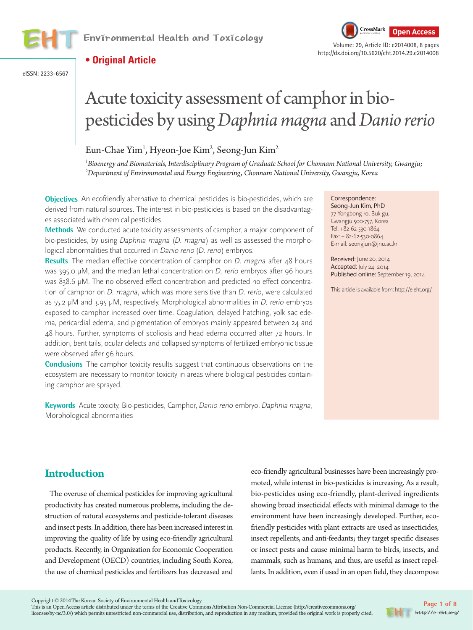

**Open Access** Environmental Health and Toxicology Volume: 29, Article ID: e2014008, 8 pages



http://dx.doi.org/10.5620/eht.2014.29.e2014008

# **• Original Article**

eISSN: 2233-6567

# Acute toxicity assessment of camphor in biopesticides by using *Daphnia magna* and *Danio rerio*

# Eun-Chae Yim<sup>1</sup>, Hyeon-Joe Kim<sup>2</sup>, Seong-Jun Kim<sup>2</sup>

*1 Bioenergy and Biomaterials, Interdisciplinary Program of Graduate School for Chonnam National University, Gwangju; 2 Department of Environmental and Energy Engineering, Chonnam National University, Gwangju, Korea*

**Objectives** An ecofriendly alternative to chemical pesticides is bio-pesticides, which are derived from natural sources. The interest in bio-pesticides is based on the disadvantages associated with chemical pesticides.

**Methods** We conducted acute toxicity assessments of camphor, a major component of bio-pesticides, by using Daphnia magna (D. magna) as well as assessed the morphological abnormalities that occurred in Danio rerio (D. rerio) embryos.

**Results** The median effective concentration of camphor on *D. magna* after 48 hours was 395.0 μM, and the median lethal concentration on D. rerio embryos after 96 hours was 838.6 μM. The no observed effect concentration and predicted no effect concentration of camphor on *D. magna*, which was more sensitive than *D. rerio*, were calculated as 55.2 μM and 3.95 μM, respectively. Morphological abnormalities in D. rerio embryos exposed to camphor increased over time. Coagulation, delayed hatching, yolk sac edema, pericardial edema, and pigmentation of embryos mainly appeared between 24 and 48 hours. Further, symptoms of scoliosis and head edema occurred after 72 hours. In addition, bent tails, ocular defects and collapsed symptoms of fertilized embryonic tissue were observed after 96 hours.

**Conclusions** The camphor toxicity results suggest that continuous observations on the ecosystem are necessary to monitor toxicity in areas where biological pesticides containing camphor are sprayed.

**Keywords** Acute toxicity, Bio-pesticides, Camphor, Danio rerio embryo, Daphnia magna, Morphological abnormalities

Correspondence:

Seong-Jun Kim, PhD 77 Yongbong-ro, Buk-gu, Gwangju 500-757, Korea Tel: +82-62-530-1864 Fax: + 82-62-530-0864 E-mail: seongjun@jnu.ac.kr

Received: June 20, 2014 Accepted: July 24, 2014 Published online: September 19, 2014

This article is available from: http://e-eht.org/

# **Introduction**

The overuse of chemical pesticides for improving agricultural productivity has created numerous problems, including the destruction of natural ecosystems and pesticide-tolerant diseases and insect pests. In addition, there has been increased interest in improving the quality of life by using eco-friendly agricultural products. Recently, in Organization for Economic Cooperation and Development (OECD) countries, including South Korea, the use of chemical pesticides and fertilizers has decreased and eco-friendly agricultural businesses have been increasingly promoted, while interest in bio-pesticides is increasing. As a result, bio-pesticides using eco-friendly, plant-derived ingredients showing broad insecticidal effects with minimal damage to the environment have been increasingly developed. Further, ecofriendly pesticides with plant extracts are used as insecticides, insect repellents, and anti-feedants; they target specific diseases or insect pests and cause minimal harm to birds, insects, and mammals, such as humans, and thus, are useful as insect repellants. In addition, even if used in an open field, they decompose

Copyright © 2014 The Korean Society of Environmental Health and Toxicology

This is an Open Access article distributed under the terms of the Creative Commons Attribution Non-Commercial License (http://creativecommons.org/ licenses/by-nc/3.0/) which permits unrestricted non-commercial use, distribution, and reproduction in any medium, provided the original work is properly cited.

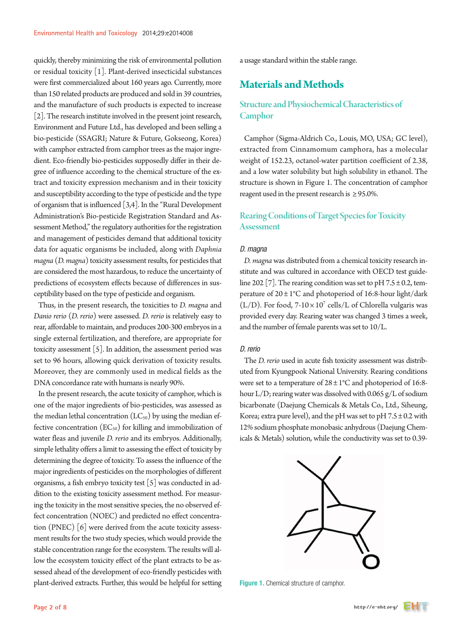quickly, thereby minimizing the risk of environmental pollution or residual toxicity [1]. Plant-derived insecticidal substances were first commercialized about 160 years ago. Currently, more than 150 related products are produced and sold in 39 countries, and the manufacture of such products is expected to increase [2]. The research institute involved in the present joint research, Environment and Future Ltd., has developed and been selling a bio-pesticide (SSAGRI; Nature & Future, Gokseong, Korea) with camphor extracted from camphor trees as the major ingredient. Eco-friendly bio-pesticides supposedly differ in their degree of influence according to the chemical structure of the extract and toxicity expression mechanism and in their toxicity and susceptibility according to the type of pesticide and the type of organism that is influenced [3,4]. In the "Rural Development Administration's Bio-pesticide Registration Standard and Assessment Method," the regulatory authorities for the registration and management of pesticides demand that additional toxicity data for aquatic organisms be included, along with *Daphnia magna* (*D. magna*) toxicity assessment results, for pesticides that are considered the most hazardous, to reduce the uncertainty of predictions of ecosystem effects because of differences in susceptibility based on the type of pesticide and organism.

Thus, in the present research, the toxicities to *D. magna* and *Danio rerio* (*D. rerio*) were assessed. *D. rerio* is relatively easy to rear, affordable to maintain, and produces 200-300 embryos in a single external fertilization, and therefore, are appropriate for toxicity assessment [5]. In addition, the assessment period was set to 96 hours, allowing quick derivation of toxicity results. Moreover, they are commonly used in medical fields as the DNA concordance rate with humans is nearly 90%.

In the present research, the acute toxicity of camphor, which is one of the major ingredients of bio-pesticides, was assessed as the median lethal concentration  $(LC_{50})$  by using the median effective concentration  $(EC_{50})$  for killing and immobilization of water fleas and juvenile *D. rerio* and its embryos. Additionally, simple lethality offers a limit to assessing the effect of toxicity by determining the degree of toxicity. To assess the influence of the major ingredients of pesticides on the morphologies of different organisms, a fish embryo toxicity test [5] was conducted in addition to the existing toxicity assessment method. For measuring the toxicity in the most sensitive species, the no observed effect concentration (NOEC) and predicted no effect concentration (PNEC) [6] were derived from the acute toxicity assessment results for the two study species, which would provide the stable concentration range for the ecosystem. The results will allow the ecosystem toxicity effect of the plant extracts to be assessed ahead of the development of eco-friendly pesticides with plant-derived extracts. Further, this would be helpful for setting

a usage standard within the stable range.

# **Materials and Methods**

# Structure and Physiochemical Characteristics of **Camphor**

Camphor (Sigma-Aldrich Co., Louis, MO, USA; GC level), extracted from Cinnamomum camphora, has a molecular weight of 152.23, octanol-water partition coefficient of 2.38, and a low water solubility but high solubility in ethanol. The structure is shown in Figure 1. The concentration of camphor reagent used in the present research is  $\geq$  95.0%.

# Rearing Conditions of Target Species for Toxicity **Assessment**

## *D. magna*

*D. magna* was distributed from a chemical toxicity research institute and was cultured in accordance with OECD test guideline 202 [7]. The rearing condition was set to pH  $7.5 \pm 0.2$ , temperature of  $20 \pm 1^{\circ}$ C and photoperiod of 16:8-hour light/dark ( $L/D$ ). For food, 7-10 × 10<sup>7</sup> cells/L of Chlorella vulgaris was provided every day. Rearing water was changed 3 times a week, and the number of female parents was set to 10/L.

## *D. rerio*

The *D. rerio* used in acute fish toxicity assessment was distributed from Kyungpook National University. Rearing conditions were set to a temperature of  $28 \pm 1^{\circ}$ C and photoperiod of 16:8hour L/D; rearing water was dissolved with 0.065 g/L of sodium bicarbonate (Daejung Chemicals & Metals Co., Ltd., Siheung, Korea; extra pure level), and the pH was set to pH  $7.5 \pm 0.2$  with 12% sodium phosphate monobasic anhydrous (Daejung Chemicals & Metals) solution, while the conductivity was set to 0.39-



**Figure 1.** Chemical structure of camphor.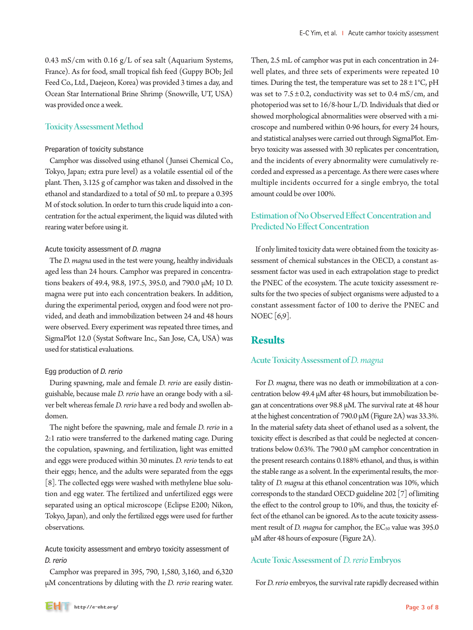0.43 mS/cm with 0.16  $g/L$  of sea salt (Aquarium Systems, France). As for food, small tropical fish feed (Guppy BOb; Jeil Feed Co., Ltd., Daejeon, Korea) was provided 3 times a day, and Ocean Star International Brine Shrimp (Snowville, UT, USA) was provided once a week.

## Toxicity Assessment Method

#### Preparation of toxicity substance

Camphor was dissolved using ethanol (Junsei Chemical Co., Tokyo, Japan; extra pure level) as a volatile essential oil of the plant. Then, 3.125 g of camphor was taken and dissolved in the ethanol and standardized to a total of 50 mL to prepare a 0.395 M of stock solution. In order to turn this crude liquid into a concentration for the actual experiment, the liquid was diluted with rearing water before using it.

## Acute toxicity assessment of D. magna

The *D. magna* used in the test were young, healthy individuals aged less than 24 hours. Camphor was prepared in concentrations beakers of 49.4, 98.8, 197.5, 395.0, and 790.0 μM; 10 D. magna were put into each concentration beakers. In addition, during the experimental period, oxygen and food were not provided, and death and immobilization between 24 and 48 hours were observed. Every experiment was repeated three times, and SigmaPlot 12.0 (Systat Software Inc., San Jose, CA, USA) was used for statistical evaluations.

#### Egg production of D. rerio

During spawning, male and female *D. rerio* are easily distinguishable, because male *D. rerio* have an orange body with a silver belt whereas female *D. rerio* have a red body and swollen abdomen.

The night before the spawning, male and female *D. rerio* in a 2:1 ratio were transferred to the darkened mating cage. During the copulation, spawning, and fertilization, light was emitted and eggs were produced within 30 minutes. *D. rerio* tends to eat their eggs; hence, and the adults were separated from the eggs [8]. The collected eggs were washed with methylene blue solution and egg water. The fertilized and unfertilized eggs were separated using an optical microscope (Eclipse E200; Nikon, Tokyo, Japan), and only the fertilized eggs were used for further observations.

## Acute toxicity assessment and embryo toxicity assessment of D. rerio

Camphor was prepared in 395, 790, 1,580, 3,160, and 6,320 μM concentrations by diluting with the *D. rerio* rearing water. Then, 2.5 mL of camphor was put in each concentration in 24 well plates, and three sets of experiments were repeated 10 times. During the test, the temperature was set to  $28 \pm 1^{\circ}C$ , pH was set to  $7.5 \pm 0.2$ , conductivity was set to 0.4 mS/cm, and photoperiod was set to 16/8-hour L/D. Individuals that died or showed morphological abnormalities were observed with a microscope and numbered within 0-96 hours, for every 24 hours, and statistical analyses were carried out through SigmaPlot. Embryo toxicity was assessed with 30 replicates per concentration, and the incidents of every abnormality were cumulatively recorded and expressed as a percentage. As there were cases where multiple incidents occurred for a single embryo, the total amount could be over 100%.

# Estimation of No Observed Effect Concentration and Predicted No Effect Concentration

If only limited toxicity data were obtained from the toxicity assessment of chemical substances in the OECD, a constant assessment factor was used in each extrapolation stage to predict the PNEC of the ecosystem. The acute toxicity assessment results for the two species of subject organisms were adjusted to a constant assessment factor of 100 to derive the PNEC and NOEC [6,9].

# **Results**

## Acute Toxicity Assessment of *D. magna*

For *D. magna*, there was no death or immobilization at a concentration below 49.4 μM after 48 hours, but immobilization began at concentrations over 98.8 μM. The survival rate at 48 hour at the highest concentration of 790.0 μM (Figure 2A) was 33.3%. In the material safety data sheet of ethanol used as a solvent, the toxicity effect is described as that could be neglected at concentrations below 0.63%. The 790.0 μM camphor concentration in the present research contains 0.188% ethanol, and thus, is within the stable range as a solvent. In the experimental results, the mortality of *D. magna* at this ethanol concentration was 10%, which corresponds to the standard OECD guideline 202 [7] of limiting the effect to the control group to 10%, and thus, the toxicity effect of the ethanol can be ignored. As to the acute toxicity assessment result of *D. magna* for camphor, the EC<sub>50</sub> value was 395.0 μM after 48 hours of exposure (Figure 2A).

## Acute Toxic Assessment of *D. rerio* Embryos

For *D. rerio* embryos, the survival rate rapidly decreased within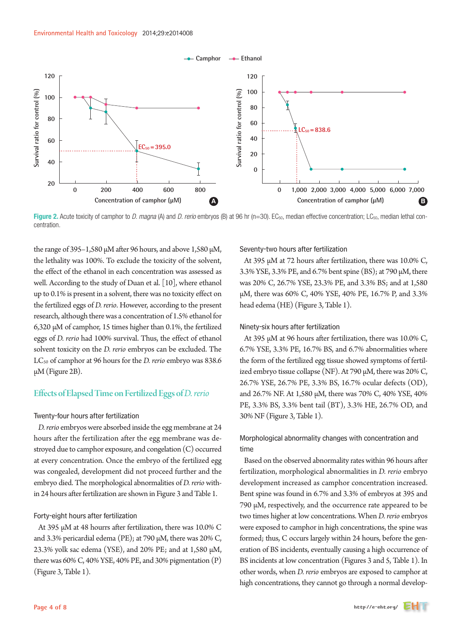

Figure 2. Acute toxicity of camphor to *D. magna* (A) and *D. rerio* embryos (B) at 96 hr (n=30). EC<sub>50</sub>, median effective concentration; LC<sub>50</sub>, median lethal concentration.

the range of 395–1,580 μM after 96 hours, and above 1,580 μM, the lethality was 100%. To exclude the toxicity of the solvent, the effect of the ethanol in each concentration was assessed as well. According to the study of Duan et al. [10], where ethanol up to 0.1% is present in a solvent, there was no toxicity effect on the fertilized eggs of *D. rerio*. However, according to the present research, although there was a concentration of 1.5% ethanol for 6,320 μM of camphor, 15 times higher than 0.1%, the fertilized eggs of *D. rerio* had 100% survival. Thus, the effect of ethanol solvent toxicity on the *D. rerio* embryos can be excluded. The LC<sub>50</sub> of camphor at 96 hours for the *D. rerio* embryo was 838.6 μM (Figure 2B).

## Effects of Elapsed Time on Fertilized Eggs of *D. rerio*

#### Twenty-four hours after fertilization

*D. rerio* embryos were absorbed inside the egg membrane at 24 hours after the fertilization after the egg membrane was destroyed due to camphor exposure, and congelation (C) occurred at every concentration. Once the embryo of the fertilized egg was congealed, development did not proceed further and the embryo died. The morphological abnormalities of *D. rerio* within 24 hours after fertilization are shown in Figure 3 and Table 1.

#### Forty-eight hours after fertilization

At 395 μM at 48 hourrs after fertilization, there was 10.0% C and 3.3% pericardial edema (PE); at 790 μM, there was 20% C, 23.3% yolk sac edema (YSE), and 20% PE; and at 1,580 μM, there was  $60\%$  C,  $40\%$  YSE,  $40\%$  PE, and  $30\%$  pigmentation  $(P)$ (Figure 3, Table 1).

Seventy-two hours after fertilization

At 395 μM at 72 hours after fertilization, there was 10.0% C, 3.3% YSE, 3.3% PE, and 6.7% bent spine (BS); at 790 μM, there was 20% C, 26.7% YSE, 23.3% PE, and 3.3% BS; and at 1,580 μM, there was 60% C, 40% YSE, 40% PE, 16.7% P, and 3.3% head edema (HE) (Figure 3, Table 1).

#### Ninety-six hours after fertilization

At 395 μM at 96 hours after fertilization, there was 10.0% C, 6.7% YSE, 3.3% PE, 16.7% BS, and 6.7% abnormalities where the form of the fertilized egg tissue showed symptoms of fertilized embryo tissue collapse (NF). At 790  $\mu$ M, there was 20% C, 26.7% YSE, 26.7% PE, 3.3% BS, 16.7% ocular defects (OD), and 26.7% NF. At 1,580 μM, there was 70% C, 40% YSE, 40% PE, 3.3% BS, 3.3% bent tail (BT), 3.3% HE, 26.7% OD, and 30% NF (Figure 3, Table 1).

## Morphological abnormality changes with concentration and time

Based on the observed abnormality rates within 96 hours after fertilization, morphological abnormalities in *D. rerio* embryo development increased as camphor concentration increased. Bent spine was found in 6.7% and 3.3% of embryos at 395 and 790 μM, respectively, and the occurrence rate appeared to be two times higher at low concentrations. When *D. rerio* embryos were exposed to camphor in high concentrations, the spine was formed; thus, C occurs largely within 24 hours, before the generation of BS incidents, eventually causing a high occurrence of BS incidents at low concentration (Figures 3 and 5, Table 1). In other words, when *D. rerio* embryos are exposed to camphor at high concentrations, they cannot go through a normal develop-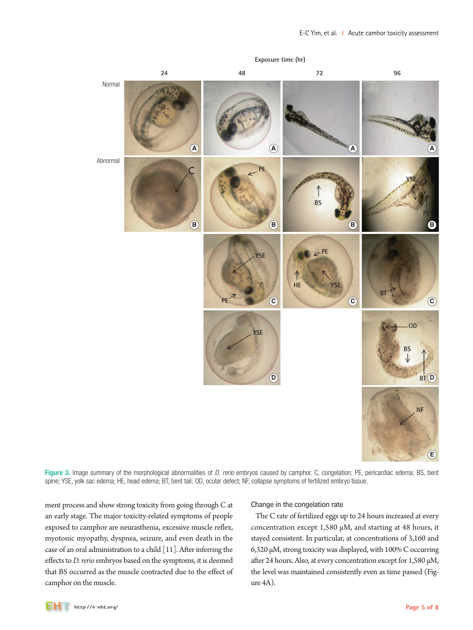

Figure 3. Image summary of the morphological abnormalities of *D. rerio* embryos caused by camphor. C, congelation; PE, pericardiac edema; BS, bent spine; YSE, yolk sac edema; HE, head edema; BT, bent tail; OD, ocular defect; NF, collapse symptoms of fertilized embryo tissue.

ment process and show strong toxicity from going through C at an early stage. The major toxicity-related symptoms of people exposed to camphor are neurasthenia, excessive muscle reflex, myotonic myopathy, dyspnea, seizure, and even death in the case of an oral administration to a child [11]. After inferring the effects to *D. rerio* embryos based on the symptoms, it is deemed that BS occurred as the muscle contracted due to the effect of camphor on the muscle.

### Change in the congelation rate

The C rate of fertilized eggs up to 24 hours increased at every concentration except 1,580 μM, and starting at 48 hours, it stayed consistent. In particular, at concentrations of 3,160 and 6,320 μM, strong toxicity was displayed, with 100% C occurring after 24 hours. Also, at every concentration except for 1,580 μM, the level was maintained consistently even as time passed (Figure 4A).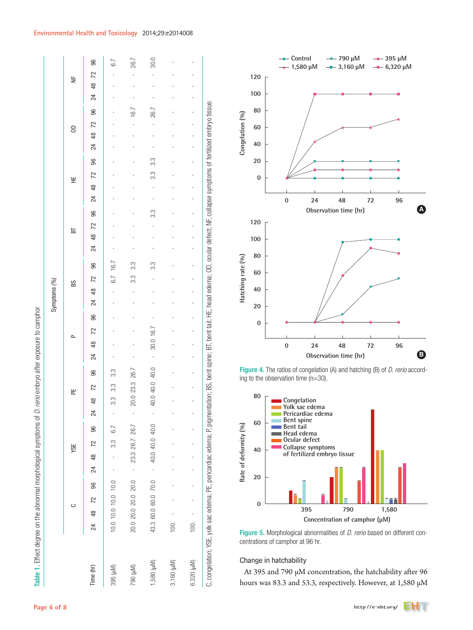## **Environmental Health and Toxicology** 2014;29:e2014008

790 (μM) 20.0 20.0 20.0 20.0 - 23.3 26.7 26.7 - 20.0 23.3 26.7 - - - - - - 3.3 3.3 - - - - - - - - - - - 16.7 - - - 26.7 30.0 1,580 (μM) 43.3 60.0 60.0 70.0 - 40.0 40.0 40.0 - 40.0 40.0 40.0 - 30.0 16.7 - - - - 3.3 - - - 3.3 - - 3.3 3.3 - - - 26.7 - - - 30.0 96  $-5.7$ 395 (μM) 10.0 10.0 10.0 10.0 - - 3.3 6.7 - 3.3 3.3 3.3 - - - - - - 6.7 16.7 - - - - - - - - - - - - - - - 6.7 24 48 72 96 24 48 72 96 24 48 72 96 24 48 72 96 24 48 72 96 24 48 72 96 24 48 72 96 24 48 72 96 24 48 72 96 ್ 3,160 (university of the contract of the contract of the contract of the contract of the contract of the contract of  $\approx$ 6,320 (μM) 100. - - - - - - - - - - - - - - - - - - - - - - - - - - - - - - - - - - -  $\overline{2}$  $\frac{1}{2}$  YSE PE P BS BT HE OD NF  $\frac{8}{4}$ 24 96 5 26. 72  $\epsilon$  $\frac{8}{3}$ 24 33 96  $\overline{72}$ 3.3 쁮  $\frac{8}{4}$ 24 3.3 96  $72$  $E$  $\frac{8}{3}$ 24 96 33 3.3  $\frac{1}{6}$ က္ပ 6.7 21 Symptoms (%) Symptoms (%) BS  $\frac{8}{3}$ 24 96 16.7  $\overline{72}$  $\Delta$  $30.0 \frac{8}{3}$  $^{24}$  $\overline{1}$ 40.0  $3.3$ 96  $26.$ 23.3 40.0  $\overline{72}$ 33 뿐 20.0 40.0  $\frac{8}{4}$ 3.3  $\overline{2}$  $\bar{1}$  $\bar{1}$ 40.0 26.7 96  $6.7$ 40.0 26.7 72 3.3 **SE** 23.3 40.0  $\frac{8}{3}$  $^{24}$  $\overline{1}$  $\overline{1}$ 20.0 70.0  $10.0$ 96 20.0 60.0  $10.0$  $\overline{72}$  $\circ$  $10.0$ 20.0 43.3 60.0  $\frac{8}{3}$  $0.0$  $20.0$  $100$  $100.$ 24 6,320 (µM) 1,580 (µM) 3,160 (µM) (Mu) 688 (Mu) 06/ Time (hr)

C, congelation; YSE, yolk sac edema; PE, pericardiac edema; P, pigmentation; BS, bent spine; BT, bent tail; HE, head edema; OD, ocular defect; NF, collapse symptoms of fertilized embryo tissue.

spine:

bent :

 $BS.$ 

pigmentation;

 $\sim$ 

pericardiac edema;

۲E.

edema:

YSE, yolk sac

C, congelation;

BT, bent t

fertilized embryo tissue.

ocular defect: NF, collapse symptoms of

Θ,

edema:

head

띞

iai.



Figure 4. The ratios of congelation (A) and hatching (B) of *D. rerio* according to the observation time (n=30).



Figure 5. Morphological abnormalities of *D. rerio* based on different concentrations of camphor at 96 hr.

## Change in hatchability

At 395 and 790 μM concentration, the hatchability after 96 hours was 83.3 and 53.3, respectively. However, at 1,580 μM

Table 1. Effect degree on the abnormal morphological symptoms of *D. rerio* embryo after exposure to camphor

Table 1. Effect degree on the abnormal morphological symptoms of D. rerio embryo after exposure to camphor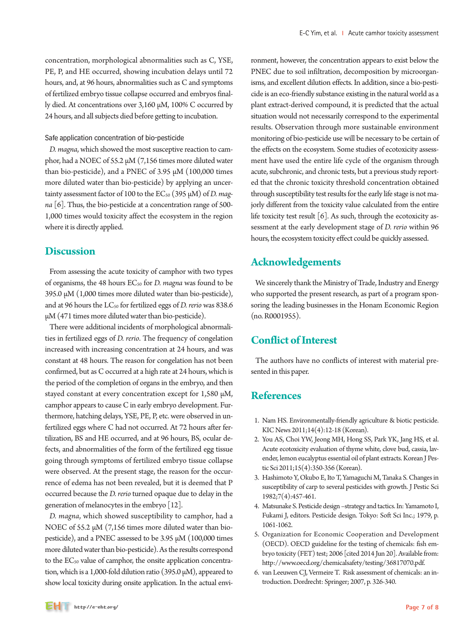concentration, morphological abnormalities such as C, YSE, PE, P, and HE occurred, showing incubation delays until 72 hours, and, at 96 hours, abnormalities such as C and symptoms of fertilized embryo tissue collapse occurred and embryos finally died. At concentrations over 3,160 μM, 100% C occurred by 24 hours, and all subjects died before getting to incubation.

## Safe application concentration of bio-pesticide

*D. magna*, which showed the most susceptive reaction to camphor, had a NOEC of 55.2 μM (7,156 times more diluted water than bio-pesticide), and a PNEC of 3.95 μM (100,000 times more diluted water than bio-pesticide) by applying an uncertainty assessment factor of 100 to the EC<sub>50</sub> (395 μM) of *D. magna* [6]. Thus, the bio-pesticide at a concentration range of 500- 1,000 times would toxicity affect the ecosystem in the region where it is directly applied.

# **Discussion**

From assessing the acute toxicity of camphor with two types of organisms, the 48 hours EC<sub>50</sub> for *D. magna* was found to be 395.0 μM (1,000 times more diluted water than bio-pesticide), and at 96 hours the LC<sub>50</sub> for fertilized eggs of *D. rerio* was 838.6 μM (471 times more diluted water than bio-pesticide).

There were additional incidents of morphological abnormalities in fertilized eggs of *D. rerio*. The frequency of congelation increased with increasing concentration at 24 hours, and was constant at 48 hours. The reason for congelation has not been confirmed, but as C occurred at a high rate at 24 hours, which is the period of the completion of organs in the embryo, and then stayed constant at every concentration except for 1,580 μM, camphor appears to cause C in early embryo development. Furthermore, hatching delays, YSE, PE, P, etc. were observed in unfertilized eggs where C had not occurred. At 72 hours after fertilization, BS and HE occurred, and at 96 hours, BS, ocular defects, and abnormalities of the form of the fertilized egg tissue going through symptoms of fertilized embryo tissue collapse were observed. At the present stage, the reason for the occurrence of edema has not been revealed, but it is deemed that P occurred because the *D. rerio* turned opaque due to delay in the generation of melanocytes in the embryo [12].

*D. magna*, which showed susceptibility to camphor, had a NOEC of 55.2 μM (7,156 times more diluted water than biopesticide), and a PNEC assessed to be 3.95 μM (100,000 times more diluted water than bio-pesticide). As the results correspond to the  $EC_{50}$  value of camphor, the onsite application concentration, which is a 1,000-fold dilution ratio (395.0 μM), appeared to show local toxicity during onsite application. In the actual environment, however, the concentration appears to exist below the PNEC due to soil infiltration, decomposition by microorganisms, and excellent dilution effects. In addition, since a bio-pesticide is an eco-friendly substance existing in the natural world as a plant extract-derived compound, it is predicted that the actual situation would not necessarily correspond to the experimental results. Observation through more sustainable environment monitoring of bio-pesticide use will be necessary to be certain of the effects on the ecosystem. Some studies of ecotoxicity assessment have used the entire life cycle of the organism through acute, subchronic, and chronic tests, but a previous study reported that the chronic toxicity threshold concentration obtained through susceptibility test results for the early life stage is not majorly different from the toxicity value calculated from the entire life toxicity test result  $[6]$ . As such, through the ecotoxicity assessment at the early development stage of *D. rerio* within 96 hours, the ecosystem toxicity effect could be quickly assessed.

# **Acknowledgements**

We sincerely thank the Ministry of Trade, Industry and Energy who supported the present research, as part of a program sponsoring the leading businesses in the Honam Economic Region (no. R0001955).

# **Conflict of Interest**

The authors have no conflicts of interest with material presented in this paper.

# **References**

- 1. Nam HS. Environmentally-friendly agriculture & biotic pesticide. KIC News 2011;14(4):12-18 (Korean).
- 2. You AS, Choi YW, Jeong MH, Hong SS, Park YK, Jang HS, et al. Acute ecotoxicity evaluation of thyme white, clove bud, cassia, lavender, lemon eucalyptus essential oil of plant extracts. Korean J Pestic Sci 2011;15(4):350-356 (Korean).
- 3. Hashimoto Y, Okubo E, Ito T, Yamaguchi M, Tanaka S. Changes in susceptibility of carp to several pesticides with growth. J Pestic Sci 1982;7(4):457-461.
- 4. Matsunake S. Pesticide design –strategy and tactics. In: Yamamoto I, Fukami J, editors. Pesticide design. Tokyo: Soft Sci Inc.; 1979, p. 1061-1062.
- 5. Organization for Economic Cooperation and Development (OECD). OECD guideline for the testing of chemicals: fish embryo toxicity (FET) test; 2006 [cited 2014 Jun 20]. Available from: http://www.oecd.org/chemicalsafety/testing/36817070.pdf.
- 6. van Leeuwen CJ, Vermeire T. Risk assessment of chemicals: an introduction. Dordrecht: Springer; 2007, p. 326-340.